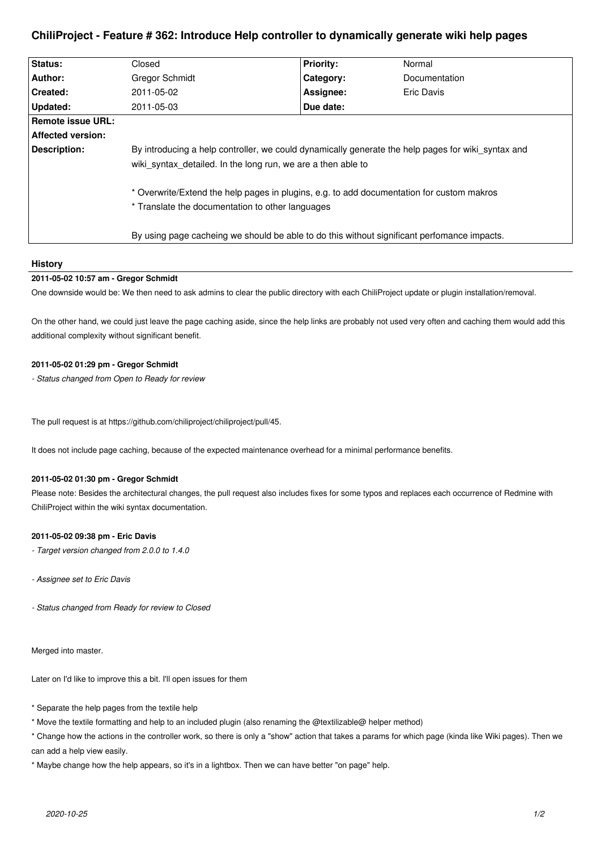# **ChiliProject - Feature # 362: Introduce Help controller to dynamically generate wiki help pages**

| Status:           | Closed                                                                                                                                                                                                                                                                                                              | <b>Priority:</b> | Normal        |
|-------------------|---------------------------------------------------------------------------------------------------------------------------------------------------------------------------------------------------------------------------------------------------------------------------------------------------------------------|------------------|---------------|
| Author:           | <b>Gregor Schmidt</b>                                                                                                                                                                                                                                                                                               | Category:        | Documentation |
| Created:          | 2011-05-02                                                                                                                                                                                                                                                                                                          | Assignee:        | Eric Davis    |
| Updated:          | 2011-05-03                                                                                                                                                                                                                                                                                                          | Due date:        |               |
| Remote issue URL: |                                                                                                                                                                                                                                                                                                                     |                  |               |
| Affected version: |                                                                                                                                                                                                                                                                                                                     |                  |               |
| Description:      | By introducing a help controller, we could dynamically generate the help pages for wiki syntax and<br>wiki syntax detailed. In the long run, we are a then able to<br>* Overwrite/Extend the help pages in plugins, e.g. to add documentation for custom makros<br>* Translate the documentation to other languages |                  |               |
|                   | By using page cacheing we should be able to do this without significant perfomance impacts.                                                                                                                                                                                                                         |                  |               |

## **History**

# **2011-05-02 10:57 am - Gregor Schmidt**

One downside would be: We then need to ask admins to clear the public directory with each ChiliProject update or plugin installation/removal.

On the other hand, we could just leave the page caching aside, since the help links are probably not used very often and caching them would add this additional complexity without significant benefit.

## **2011-05-02 01:29 pm - Gregor Schmidt**

*- Status changed from Open to Ready for review*

The pull request is at https://github.com/chiliproject/chiliproject/pull/45.

It does not include page caching, because of the expected maintenance overhead for a minimal performance benefits.

#### **2011-05-02 01:30 pm - Gregor Schmidt**

Please note: Besides the architectural changes, the pull request also includes fixes for some typos and replaces each occurrence of Redmine with ChiliProject within the wiki syntax documentation.

## **2011-05-02 09:38 pm - Eric Davis**

- *Target version changed from 2.0.0 to 1.4.0*
- *Assignee set to Eric Davis*
- *Status changed from Ready for review to Closed*

Merged into master.

Later on I'd like to improve this a bit. I'll open issues for them

- \* Separate the help pages from the textile help
- \* Move the textile formatting and help to an included plugin (also renaming the @textilizable@ helper method)

\* Change how the actions in the controller work, so there is only a "show" action that takes a params for which page (kinda like Wiki pages). Then we can add a help view easily.

\* Maybe change how the help appears, so it's in a lightbox. Then we can have better "on page" help.